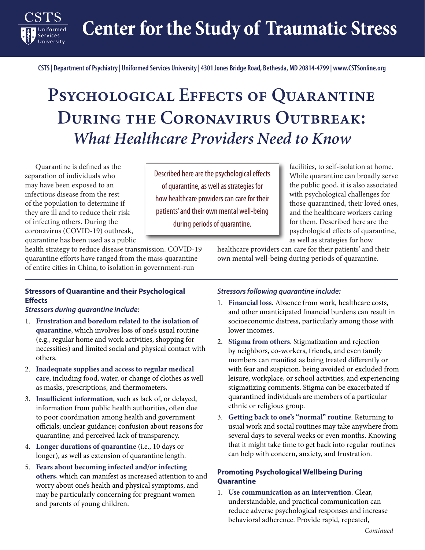**Center for the Study of Traumatic Stress** 

**CSTS | Department of Psychiatry | Uniformed Services University | 4301 Jones Bridge Road, Bethesda, MD 20814-4799 | www.CSTSonline.org**

# PSYCHOLOGICAL EFFECTS OF QUARANTINE **During the Coronavirus Outbreak:** *What Healthcare Providers Need to Know*

Quarantine is defined as the<br>separation of individuals who Quarantine is defined as the may have been exposed to an infectious disease from the rest of the population to determine if they are ill and to reduce their risk of infecting others. During the coronavirus (COVID-19) outbreak, quarantine has been used as a public

**Services** 

Described here are the psychological effects of quarantine, as well as strategies for how healthcare providers can care for their patients' and their own mental well-being during periods of quarantine.

facilities, to self-isolation at home. While quarantine can broadly serve the public good, it is also associated with psychological challenges for those quarantined, their loved ones, and the healthcare workers caring for them. Described here are the psychological effects of quarantine, as well as strategies for how

health strategy to reduce disease transmission. COVID-19 quarantine efforts have ranged from the mass quarantine of entire cities in China, to isolation in government-run

### **Stressors of Quarantine and their Psychological Effects**

#### *Stressors during quarantine include:*

- 1. **Frustration and boredom related to the isolation of quarantine**, which involves loss of one's usual routine (e.g., regular home and work activities, shopping for necessities) and limited social and physical contact with others.
- 2. **Inadequate supplies and access to regular medical care**, including food, water, or change of clothes as well as masks, prescriptions, and thermometers.
- 3. **Insufficient information**, such as lack of, or delayed, information from public health authorities, often due to poor coordination among health and government officials; unclear guidance; confusion about reasons for quarantine; and perceived lack of transparency.
- 4. **Longer durations of quarantine** (i.e., 10 days or longer), as well as extension of quarantine length.
- 5. **Fears about becoming infected and/or infecting others**, which can manifest as increased attention to and worry about one's health and physical symptoms, and may be particularly concerning for pregnant women and parents of young children.

#### *Stressors following quarantine include:*

1. **Financial loss**. Absence from work, healthcare costs, and other unanticipated financial burdens can result in socioeconomic distress, particularly among those with lower incomes.

healthcare providers can care for their patients' and their own mental well-being during periods of quarantine.

- 2. **Stigma from others**. Stigmatization and rejection by neighbors, co-workers, friends, and even family members can manifest as being treated differently or with fear and suspicion, being avoided or excluded from leisure, workplace, or school activities, and experiencing stigmatizing comments. Stigma can be exacerbated if quarantined individuals are members of a particular ethnic or religious group.
- 3. **Getting back to one's "normal" routine**. Returning to usual work and social routines may take anywhere from several days to several weeks or even months. Knowing that it might take time to get back into regular routines can help with concern, anxiety, and frustration.

## **Promoting Psychological Wellbeing During Quarantine**

1. **Use communication as an intervention**. Clear, understandable, and practical communication can reduce adverse psychological responses and increase behavioral adherence. Provide rapid, repeated,